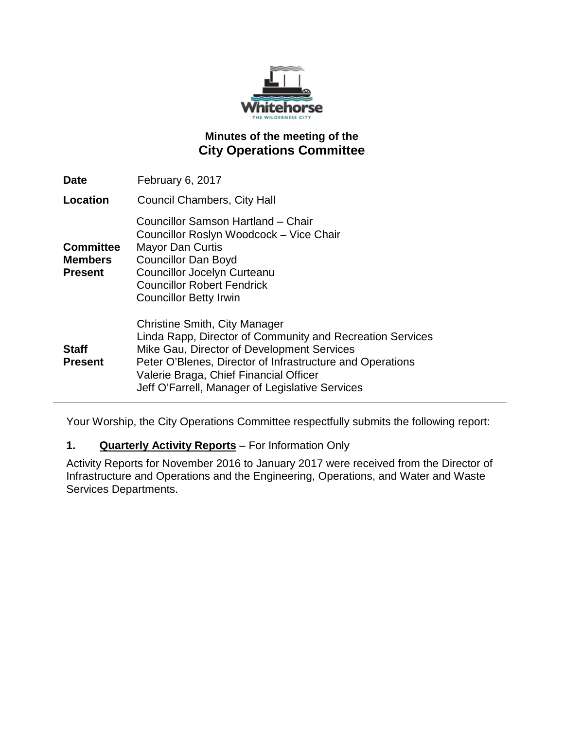

# **Minutes of the meeting of the City Operations Committee**

| Date                                                 | February 6, 2017                                                                                                                                                                                                                                                                                          |
|------------------------------------------------------|-----------------------------------------------------------------------------------------------------------------------------------------------------------------------------------------------------------------------------------------------------------------------------------------------------------|
| <b>Location</b>                                      | <b>Council Chambers, City Hall</b>                                                                                                                                                                                                                                                                        |
| <b>Committee</b><br><b>Members</b><br><b>Present</b> | Councillor Samson Hartland - Chair<br>Councillor Roslyn Woodcock - Vice Chair<br><b>Mayor Dan Curtis</b><br><b>Councillor Dan Boyd</b><br><b>Councillor Jocelyn Curteanu</b><br><b>Councillor Robert Fendrick</b><br><b>Councillor Betty Irwin</b>                                                        |
| <b>Staff</b><br><b>Present</b>                       | <b>Christine Smith, City Manager</b><br>Linda Rapp, Director of Community and Recreation Services<br>Mike Gau, Director of Development Services<br>Peter O'Blenes, Director of Infrastructure and Operations<br>Valerie Braga, Chief Financial Officer<br>Jeff O'Farrell, Manager of Legislative Services |

Your Worship, the City Operations Committee respectfully submits the following report:

## **1. Quarterly Activity Reports** – For Information Only

Activity Reports for November 2016 to January 2017 were received from the Director of Infrastructure and Operations and the Engineering, Operations, and Water and Waste Services Departments.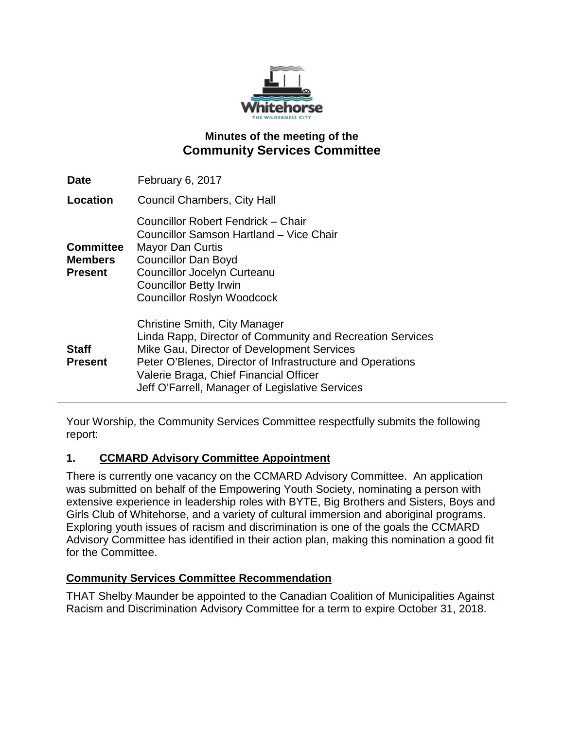

## **Minutes of the meeting of the Community Services Committee**

| <b>Date</b>                                          | February 6, 2017                                                                                                                                                                                                                                                                                   |
|------------------------------------------------------|----------------------------------------------------------------------------------------------------------------------------------------------------------------------------------------------------------------------------------------------------------------------------------------------------|
| Location                                             | Council Chambers, City Hall                                                                                                                                                                                                                                                                        |
| <b>Committee</b><br><b>Members</b><br><b>Present</b> | Councillor Robert Fendrick – Chair<br>Councillor Samson Hartland – Vice Chair<br><b>Mayor Dan Curtis</b><br><b>Councillor Dan Boyd</b><br><b>Councillor Jocelyn Curteanu</b><br><b>Councillor Betty Irwin</b><br><b>Councillor Roslyn Woodcock</b>                                                 |
| <b>Staff</b><br><b>Present</b>                       | Christine Smith, City Manager<br>Linda Rapp, Director of Community and Recreation Services<br>Mike Gau, Director of Development Services<br>Peter O'Blenes, Director of Infrastructure and Operations<br>Valerie Braga, Chief Financial Officer<br>Jeff O'Farrell, Manager of Legislative Services |

Your Worship, the Community Services Committee respectfully submits the following report:

## **1. CCMARD Advisory Committee Appointment**

There is currently one vacancy on the CCMARD Advisory Committee. An application was submitted on behalf of the Empowering Youth Society, nominating a person with extensive experience in leadership roles with BYTE, Big Brothers and Sisters, Boys and Girls Club of Whitehorse, and a variety of cultural immersion and aboriginal programs. Exploring youth issues of racism and discrimination is one of the goals the CCMARD Advisory Committee has identified in their action plan, making this nomination a good fit for the Committee.

## **Community Services Committee Recommendation**

THAT Shelby Maunder be appointed to the Canadian Coalition of Municipalities Against Racism and Discrimination Advisory Committee for a term to expire October 31, 2018.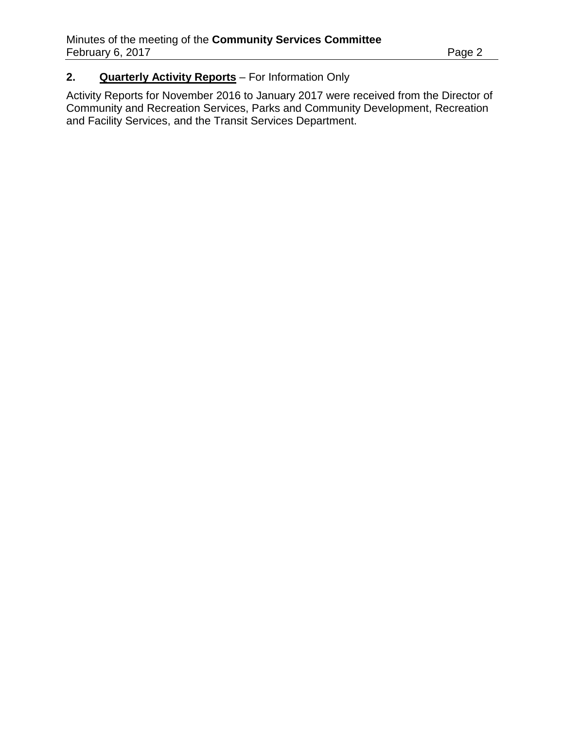# **2. Quarterly Activity Reports** – For Information Only

Activity Reports for November 2016 to January 2017 were received from the Director of Community and Recreation Services, Parks and Community Development, Recreation and Facility Services, and the Transit Services Department.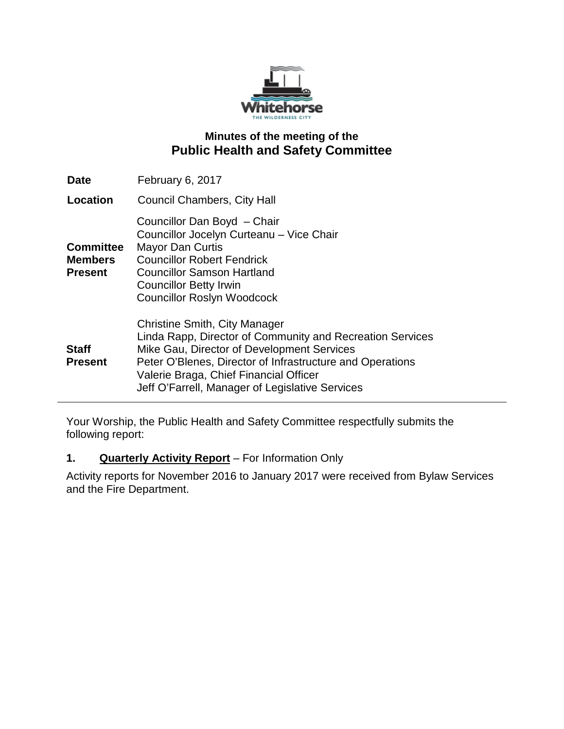

## **Minutes of the meeting of the Public Health and Safety Committee**

| <b>Date</b>                                          | February 6, 2017                                                                                                                                                                                                                                                                                          |
|------------------------------------------------------|-----------------------------------------------------------------------------------------------------------------------------------------------------------------------------------------------------------------------------------------------------------------------------------------------------------|
| Location                                             | <b>Council Chambers, City Hall</b>                                                                                                                                                                                                                                                                        |
| <b>Committee</b><br><b>Members</b><br><b>Present</b> | Councillor Dan Boyd - Chair<br>Councillor Jocelyn Curteanu - Vice Chair<br><b>Mayor Dan Curtis</b><br><b>Councillor Robert Fendrick</b><br><b>Councillor Samson Hartland</b><br><b>Councillor Betty Irwin</b><br><b>Councillor Roslyn Woodcock</b>                                                        |
| <b>Staff</b><br><b>Present</b>                       | <b>Christine Smith, City Manager</b><br>Linda Rapp, Director of Community and Recreation Services<br>Mike Gau, Director of Development Services<br>Peter O'Blenes, Director of Infrastructure and Operations<br>Valerie Braga, Chief Financial Officer<br>Jeff O'Farrell, Manager of Legislative Services |

Your Worship, the Public Health and Safety Committee respectfully submits the following report:

## **1. Quarterly Activity Report** – For Information Only

Activity reports for November 2016 to January 2017 were received from Bylaw Services and the Fire Department.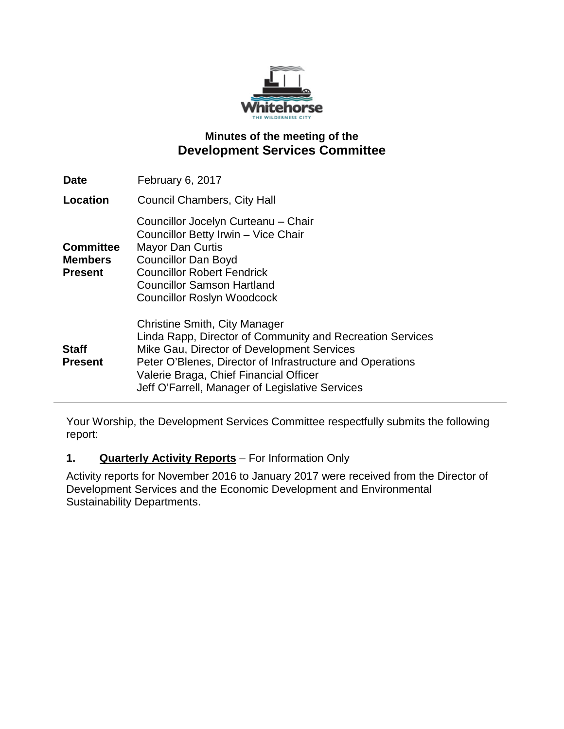

## **Minutes of the meeting of the Development Services Committee**

| <b>Date</b>                                          | February 6, 2017                                                                                                                                                                                                                                                                                          |
|------------------------------------------------------|-----------------------------------------------------------------------------------------------------------------------------------------------------------------------------------------------------------------------------------------------------------------------------------------------------------|
| Location                                             | Council Chambers, City Hall                                                                                                                                                                                                                                                                               |
| <b>Committee</b><br><b>Members</b><br><b>Present</b> | Councillor Jocelyn Curteanu - Chair<br>Councillor Betty Irwin - Vice Chair<br><b>Mayor Dan Curtis</b><br><b>Councillor Dan Boyd</b><br><b>Councillor Robert Fendrick</b><br><b>Councillor Samson Hartland</b><br><b>Councillor Roslyn Woodcock</b>                                                        |
| <b>Staff</b><br><b>Present</b>                       | <b>Christine Smith, City Manager</b><br>Linda Rapp, Director of Community and Recreation Services<br>Mike Gau, Director of Development Services<br>Peter O'Blenes, Director of Infrastructure and Operations<br>Valerie Braga, Chief Financial Officer<br>Jeff O'Farrell, Manager of Legislative Services |

Your Worship, the Development Services Committee respectfully submits the following report:

## **1. Quarterly Activity Reports** – For Information Only

Activity reports for November 2016 to January 2017 were received from the Director of Development Services and the Economic Development and Environmental Sustainability Departments.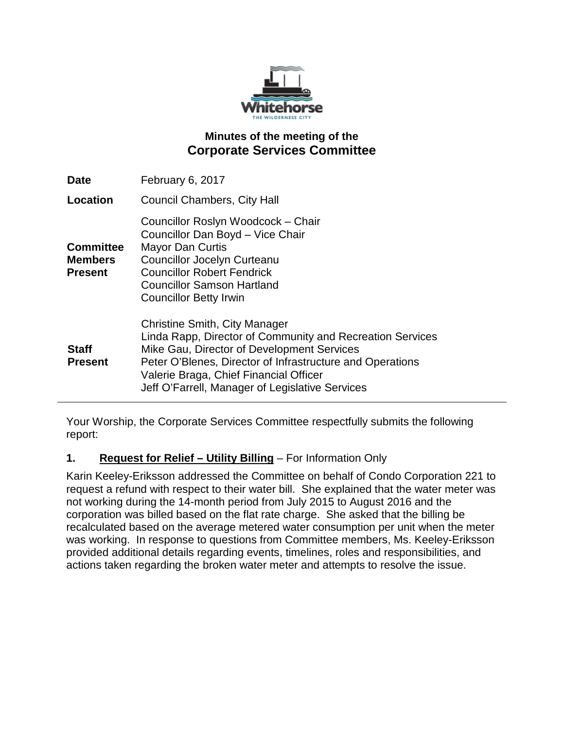

# **Minutes of the meeting of the Corporate Services Committee**

| <b>Date</b>                                          | February 6, 2017                                                                                                                                                                                                                                                                                          |
|------------------------------------------------------|-----------------------------------------------------------------------------------------------------------------------------------------------------------------------------------------------------------------------------------------------------------------------------------------------------------|
| Location                                             | <b>Council Chambers, City Hall</b>                                                                                                                                                                                                                                                                        |
| <b>Committee</b><br><b>Members</b><br><b>Present</b> | Councillor Roslyn Woodcock - Chair<br>Councillor Dan Boyd - Vice Chair<br><b>Mayor Dan Curtis</b><br><b>Councillor Jocelyn Curteanu</b><br><b>Councillor Robert Fendrick</b><br><b>Councillor Samson Hartland</b><br><b>Councillor Betty Irwin</b>                                                        |
| <b>Staff</b><br><b>Present</b>                       | <b>Christine Smith, City Manager</b><br>Linda Rapp, Director of Community and Recreation Services<br>Mike Gau, Director of Development Services<br>Peter O'Blenes, Director of Infrastructure and Operations<br>Valerie Braga, Chief Financial Officer<br>Jeff O'Farrell, Manager of Legislative Services |

Your Worship, the Corporate Services Committee respectfully submits the following report:

## **1. Request for Relief – Utility Billing** – For Information Only

Karin Keeley-Eriksson addressed the Committee on behalf of Condo Corporation 221 to request a refund with respect to their water bill. She explained that the water meter was not working during the 14-month period from July 2015 to August 2016 and the corporation was billed based on the flat rate charge. She asked that the billing be recalculated based on the average metered water consumption per unit when the meter was working. In response to questions from Committee members, Ms. Keeley-Eriksson provided additional details regarding events, timelines, roles and responsibilities, and actions taken regarding the broken water meter and attempts to resolve the issue.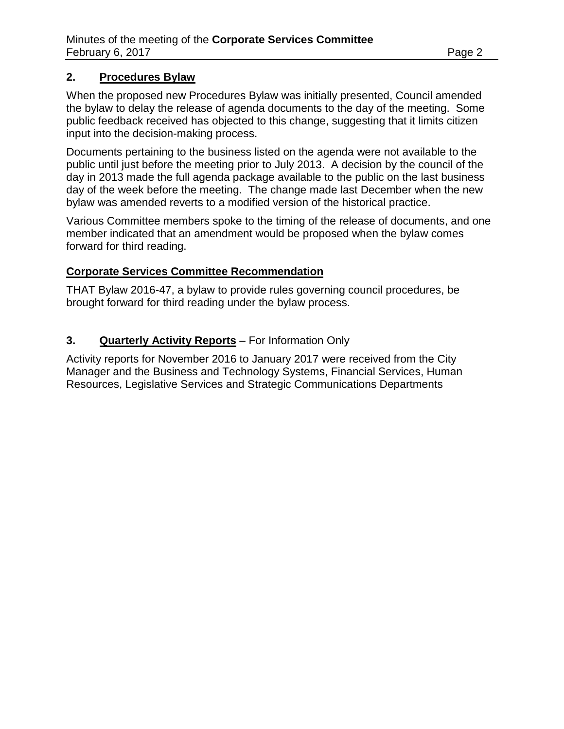### **2. Procedures Bylaw**

When the proposed new Procedures Bylaw was initially presented, Council amended the bylaw to delay the release of agenda documents to the day of the meeting. Some public feedback received has objected to this change, suggesting that it limits citizen input into the decision-making process.

Documents pertaining to the business listed on the agenda were not available to the public until just before the meeting prior to July 2013. A decision by the council of the day in 2013 made the full agenda package available to the public on the last business day of the week before the meeting. The change made last December when the new bylaw was amended reverts to a modified version of the historical practice.

Various Committee members spoke to the timing of the release of documents, and one member indicated that an amendment would be proposed when the bylaw comes forward for third reading.

#### **Corporate Services Committee Recommendation**

THAT Bylaw 2016-47, a bylaw to provide rules governing council procedures, be brought forward for third reading under the bylaw process.

## **3. Quarterly Activity Reports** – For Information Only

Activity reports for November 2016 to January 2017 were received from the City Manager and the Business and Technology Systems, Financial Services, Human Resources, Legislative Services and Strategic Communications Departments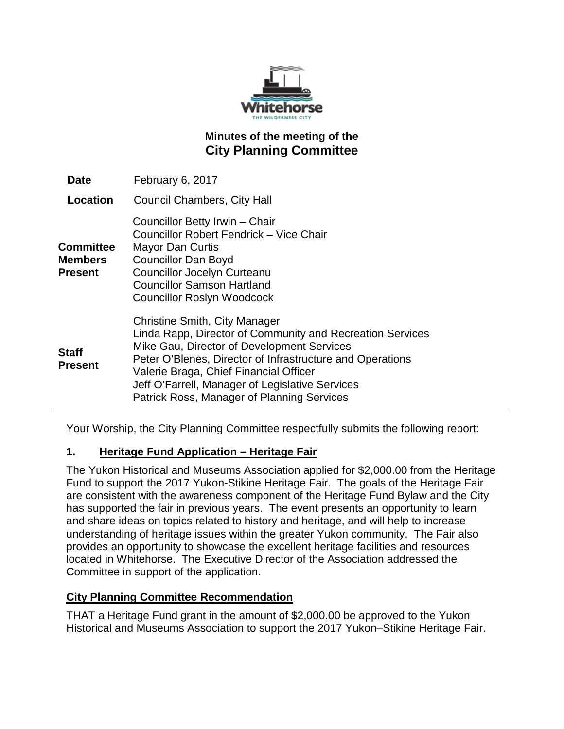

# **Minutes of the meeting of the City Planning Committee**

| Date                                   | February 6, 2017                                                                                                                                                                                                                                                                                                                                        |
|----------------------------------------|---------------------------------------------------------------------------------------------------------------------------------------------------------------------------------------------------------------------------------------------------------------------------------------------------------------------------------------------------------|
| Location                               | <b>Council Chambers, City Hall</b>                                                                                                                                                                                                                                                                                                                      |
| <b>Committee</b><br>Members<br>Present | Councillor Betty Irwin - Chair<br>Councillor Robert Fendrick - Vice Chair<br><b>Mayor Dan Curtis</b><br><b>Councillor Dan Boyd</b><br><b>Councillor Jocelyn Curteanu</b><br><b>Councillor Samson Hartland</b><br><b>Councillor Roslyn Woodcock</b>                                                                                                      |
| Staff<br><b>Present</b>                | <b>Christine Smith, City Manager</b><br>Linda Rapp, Director of Community and Recreation Services<br>Mike Gau, Director of Development Services<br>Peter O'Blenes, Director of Infrastructure and Operations<br>Valerie Braga, Chief Financial Officer<br>Jeff O'Farrell, Manager of Legislative Services<br>Patrick Ross, Manager of Planning Services |

Your Worship, the City Planning Committee respectfully submits the following report:

## **1. Heritage Fund Application – Heritage Fair**

The Yukon Historical and Museums Association applied for \$2,000.00 from the Heritage Fund to support the 2017 Yukon-Stikine Heritage Fair. The goals of the Heritage Fair are consistent with the awareness component of the Heritage Fund Bylaw and the City has supported the fair in previous years. The event presents an opportunity to learn and share ideas on topics related to history and heritage, and will help to increase understanding of heritage issues within the greater Yukon community. The Fair also provides an opportunity to showcase the excellent heritage facilities and resources located in Whitehorse. The Executive Director of the Association addressed the Committee in support of the application.

#### **City Planning Committee Recommendation**

THAT a Heritage Fund grant in the amount of \$2,000.00 be approved to the Yukon Historical and Museums Association to support the 2017 Yukon–Stikine Heritage Fair.